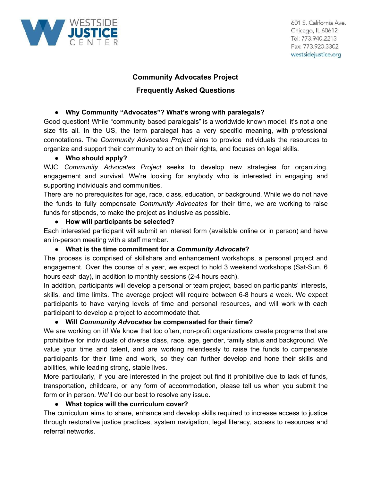

## **Community Advocates Project**

# **Frequently Asked Questions**

### **● Why Community "Advocates"? What's wrong with paralegals?**

Good question! While "community based paralegals" is a worldwide known model, it's not a one size fits all. In the US, the term paralegal has a very specific meaning, with professional connotations. The *Community Advocates Project* aims to provide individuals the resources to organize and support their community to act on their rights, and focuses on legal skills.

#### **● Who should apply?**

WJC *Community Advocates Project* seeks to develop new strategies for organizing, engagement and survival. We're looking for anybody who is interested in engaging and supporting individuals and communities.

There are no prerequisites for age, race, class, education, or background. While we do not have the funds to fully compensate *Community Advocates* for their time, we are working to raise funds for stipends, to make the project as inclusive as possible.

#### **● How will participants be selected?**

Each interested participant will submit an interest form (available online or in person) and have an in-person meeting with a staff member.

#### **● What is the time commitment for a** *Community Advocate***?**

The process is comprised of skillshare and enhancement workshops, a personal project and engagement. Over the course of a year, we expect to hold 3 weekend workshops (Sat-Sun, 6 hours each day), in addition to monthly sessions (2-4 hours each).

In addition, participants will develop a personal or team project, based on participants' interests, skills, and time limits. The average project will require between 6-8 hours a week. We expect participants to have varying levels of time and personal resources, and will work with each participant to develop a project to accommodate that.

#### **● Will** *Community Advocates* **be compensated for their time?**

We are working on it! We know that too often, non-profit organizations create programs that are prohibitive for individuals of diverse class, race, age, gender, family status and background. We value your time and talent, and are working relentlessly to raise the funds to compensate participants for their time and work, so they can further develop and hone their skills and abilities, while leading strong, stable lives.

More particularly, if you are interested in the project but find it prohibitive due to lack of funds, transportation, childcare, or any form of accommodation, please tell us when you submit the form or in person. We'll do our best to resolve any issue.

#### **● What topics will the curriculum cover?**

The curriculum aims to share, enhance and develop skills required to increase access to justice through restorative justice practices, system navigation, legal literacy, access to resources and referral networks.